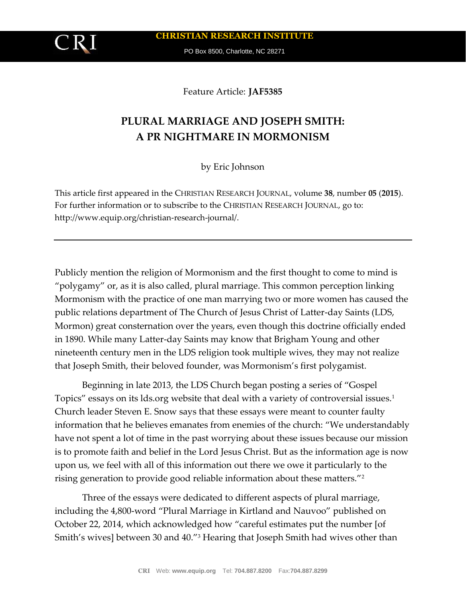**CHRISTIAN RESEARCH INSTITUTE**

PO Box 8500, Charlotte, NC 28271

Feature Article: **JAF5385**

# **PLURAL MARRIAGE AND JOSEPH SMITH: A PR NIGHTMARE IN MORMONISM**

by Eric Johnson

This article first appeared in the CHRISTIAN RESEARCH JOURNAL, volume **38**, number **05** (**2015**). For further information or to subscribe to the CHRISTIAN RESEARCH JOURNAL, go to: http://www.equip.org/christian-research-journal/.

Publicly mention the religion of Mormonism and the first thought to come to mind is "polygamy" or, as it is also called, plural marriage. This common perception linking Mormonism with the practice of one man marrying two or more women has caused the public relations department of The Church of Jesus Christ of Latter-day Saints (LDS, Mormon) great consternation over the years, even though this doctrine officially ended in 1890. While many Latter-day Saints may know that Brigham Young and other nineteenth century men in the LDS religion took multiple wives, they may not realize that Joseph Smith, their beloved founder, was Mormonism's first polygamist.

Beginning in late 2013, the LDS Church began posting a series of "Gospel Topics" essays on its lds.org website that deal with a variety of controversial issues.<sup>1</sup> Church leader Steven E. Snow says that these essays were meant to counter faulty information that he believes emanates from enemies of the church: "We understandably have not spent a lot of time in the past worrying about these issues because our mission is to promote faith and belief in the Lord Jesus Christ. But as the information age is now upon us, we feel with all of this information out there we owe it particularly to the rising generation to provide good reliable information about these matters."<sup>2</sup>

Three of the essays were dedicated to different aspects of plural marriage, including the 4,800-word "Plural Marriage in Kirtland and Nauvoo" published on October 22, 2014, which acknowledged how "careful estimates put the number [of Smith's wives] between 30 and 40."<sup>3</sup> Hearing that Joseph Smith had wives other than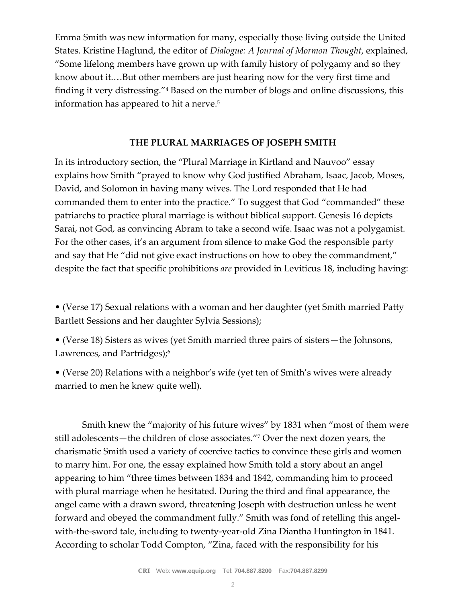Emma Smith was new information for many, especially those living outside the United States. Kristine Haglund, the editor of *Dialogue: A Journal of Mormon Thought*, explained, "Some lifelong members have grown up with family history of polygamy and so they know about it.…But other members are just hearing now for the very first time and finding it very distressing."<sup>4</sup> Based on the number of blogs and online discussions, this information has appeared to hit a nerve.<sup>5</sup>

## **THE PLURAL MARRIAGES OF JOSEPH SMITH**

In its introductory section, the "Plural Marriage in Kirtland and Nauvoo" essay explains how Smith "prayed to know why God justified Abraham, Isaac, Jacob, Moses, David, and Solomon in having many wives. The Lord responded that He had commanded them to enter into the practice." To suggest that God "commanded" these patriarchs to practice plural marriage is without biblical support. Genesis 16 depicts Sarai, not God, as convincing Abram to take a second wife. Isaac was not a polygamist. For the other cases, it's an argument from silence to make God the responsible party and say that He "did not give exact instructions on how to obey the commandment," despite the fact that specific prohibitions *are* provided in Leviticus 18, including having:

• (Verse 17) Sexual relations with a woman and her daughter (yet Smith married Patty Bartlett Sessions and her daughter Sylvia Sessions);

• (Verse 18) Sisters as wives (yet Smith married three pairs of sisters—the Johnsons, Lawrences, and Partridges);<sup>6</sup>

• (Verse 20) Relations with a neighbor's wife (yet ten of Smith's wives were already married to men he knew quite well).

Smith knew the "majority of his future wives" by 1831 when "most of them were still adolescents—the children of close associates."<sup>7</sup> Over the next dozen years, the charismatic Smith used a variety of coercive tactics to convince these girls and women to marry him. For one, the essay explained how Smith told a story about an angel appearing to him "three times between 1834 and 1842, commanding him to proceed with plural marriage when he hesitated. During the third and final appearance, the angel came with a drawn sword, threatening Joseph with destruction unless he went forward and obeyed the commandment fully." Smith was fond of retelling this angelwith-the-sword tale, including to twenty-year-old Zina Diantha Huntington in 1841. According to scholar Todd Compton, "Zina, faced with the responsibility for his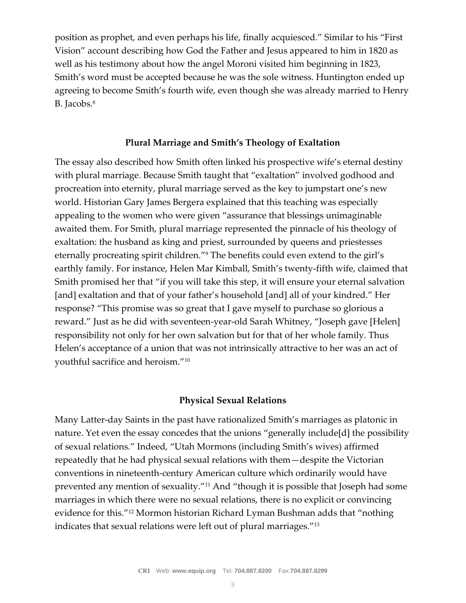position as prophet, and even perhaps his life, finally acquiesced." Similar to his "First Vision" account describing how God the Father and Jesus appeared to him in 1820 as well as his testimony about how the angel Moroni visited him beginning in 1823, Smith's word must be accepted because he was the sole witness. Huntington ended up agreeing to become Smith's fourth wife, even though she was already married to Henry B. Jacobs.<sup>8</sup>

### **Plural Marriage and Smith's Theology of Exaltation**

The essay also described how Smith often linked his prospective wife's eternal destiny with plural marriage. Because Smith taught that "exaltation" involved godhood and procreation into eternity, plural marriage served as the key to jumpstart one's new world. Historian Gary James Bergera explained that this teaching was especially appealing to the women who were given "assurance that blessings unimaginable awaited them. For Smith, plural marriage represented the pinnacle of his theology of exaltation: the husband as king and priest, surrounded by queens and priestesses eternally procreating spirit children."<sup>9</sup> The benefits could even extend to the girl's earthly family. For instance, Helen Mar Kimball, Smith's twenty-fifth wife, claimed that Smith promised her that "if you will take this step, it will ensure your eternal salvation [and] exaltation and that of your father's household [and] all of your kindred." Her response? "This promise was so great that I gave myself to purchase so glorious a reward." Just as he did with seventeen-year-old Sarah Whitney, "Joseph gave [Helen] responsibility not only for her own salvation but for that of her whole family. Thus Helen's acceptance of a union that was not intrinsically attractive to her was an act of youthful sacrifice and heroism."<sup>10</sup>

#### **Physical Sexual Relations**

Many Latter-day Saints in the past have rationalized Smith's marriages as platonic in nature. Yet even the essay concedes that the unions "generally include[d] the possibility of sexual relations." Indeed, "Utah Mormons (including Smith's wives) affirmed repeatedly that he had physical sexual relations with them—despite the Victorian conventions in nineteenth-century American culture which ordinarily would have prevented any mention of sexuality."<sup>11</sup> And "though it is possible that Joseph had some marriages in which there were no sexual relations, there is no explicit or convincing evidence for this."<sup>12</sup> Mormon historian Richard Lyman Bushman adds that "nothing indicates that sexual relations were left out of plural marriages."<sup>13</sup>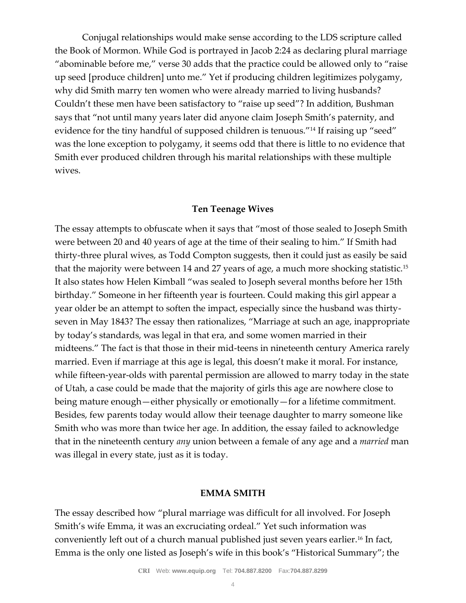Conjugal relationships would make sense according to the LDS scripture called the Book of Mormon. While God is portrayed in Jacob 2:24 as declaring plural marriage "abominable before me," verse 30 adds that the practice could be allowed only to "raise up seed [produce children] unto me." Yet if producing children legitimizes polygamy, why did Smith marry ten women who were already married to living husbands? Couldn't these men have been satisfactory to "raise up seed"? In addition, Bushman says that "not until many years later did anyone claim Joseph Smith's paternity, and evidence for the tiny handful of supposed children is tenuous."<sup>14</sup> If raising up "seed" was the lone exception to polygamy, it seems odd that there is little to no evidence that Smith ever produced children through his marital relationships with these multiple wives.

#### **Ten Teenage Wives**

The essay attempts to obfuscate when it says that "most of those sealed to Joseph Smith were between 20 and 40 years of age at the time of their sealing to him." If Smith had thirty-three plural wives, as Todd Compton suggests, then it could just as easily be said that the majority were between 14 and 27 years of age, a much more shocking statistic.<sup>15</sup> It also states how Helen Kimball "was sealed to Joseph several months before her 15th birthday." Someone in her fifteenth year is fourteen. Could making this girl appear a year older be an attempt to soften the impact, especially since the husband was thirtyseven in May 1843? The essay then rationalizes, "Marriage at such an age, inappropriate by today's standards, was legal in that era, and some women married in their midteens." The fact is that those in their mid-teens in nineteenth century America rarely married. Even if marriage at this age is legal, this doesn't make it moral. For instance, while fifteen-year-olds with parental permission are allowed to marry today in the state of Utah, a case could be made that the majority of girls this age are nowhere close to being mature enough—either physically or emotionally—for a lifetime commitment. Besides, few parents today would allow their teenage daughter to marry someone like Smith who was more than twice her age. In addition, the essay failed to acknowledge that in the nineteenth century *any* union between a female of any age and a *married* man was illegal in every state, just as it is today.

#### **EMMA SMITH**

The essay described how "plural marriage was difficult for all involved. For Joseph Smith's wife Emma, it was an excruciating ordeal." Yet such information was conveniently left out of a church manual published just seven years earlier.<sup>16</sup> In fact, Emma is the only one listed as Joseph's wife in this book's "Historical Summary"; the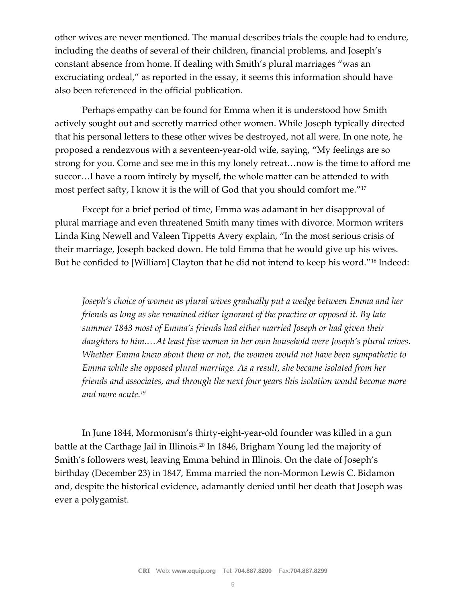other wives are never mentioned. The manual describes trials the couple had to endure, including the deaths of several of their children, financial problems, and Joseph's constant absence from home. If dealing with Smith's plural marriages "was an excruciating ordeal," as reported in the essay, it seems this information should have also been referenced in the official publication.

Perhaps empathy can be found for Emma when it is understood how Smith actively sought out and secretly married other women. While Joseph typically directed that his personal letters to these other wives be destroyed, not all were. In one note, he proposed a rendezvous with a seventeen-year-old wife, saying, "My feelings are so strong for you. Come and see me in this my lonely retreat…now is the time to afford me succor…I have a room intirely by myself, the whole matter can be attended to with most perfect safty, I know it is the will of God that you should comfort me."<sup>17</sup>

Except for a brief period of time, Emma was adamant in her disapproval of plural marriage and even threatened Smith many times with divorce. Mormon writers Linda King Newell and Valeen Tippetts Avery explain, "In the most serious crisis of their marriage, Joseph backed down. He told Emma that he would give up his wives. But he confided to [William] Clayton that he did not intend to keep his word."<sup>18</sup> Indeed:

*Joseph's choice of women as plural wives gradually put a wedge between Emma and her friends as long as she remained either ignorant of the practice or opposed it. By late summer 1843 most of Emma's friends had either married Joseph or had given their daughters to him.…At least five women in her own household were Joseph's plural wives. Whether Emma knew about them or not, the women would not have been sympathetic to Emma while she opposed plural marriage. As a result, she became isolated from her friends and associates, and through the next four years this isolation would become more and more acute.<sup>19</sup>*

In June 1844, Mormonism's thirty-eight-year-old founder was killed in a gun battle at the Carthage Jail in Illinois.<sup>20</sup> In 1846, Brigham Young led the majority of Smith's followers west, leaving Emma behind in Illinois. On the date of Joseph's birthday (December 23) in 1847, Emma married the non-Mormon Lewis C. Bidamon and, despite the historical evidence, adamantly denied until her death that Joseph was ever a polygamist.